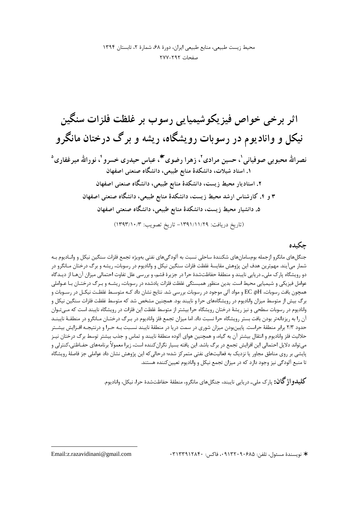#### حكىدە

جنگلهای مانگرو ازجمله بومسامانهای شکنندهٔ ساحلی نسبت به آلودگیهای نفتی بهویژه تجمع فلزات سنگین نیکل و وانـادیوم بـه شمار میآیند. مهمترین هدف این پژوهش مقایسهٔ غلظت فلزات سنگین نیکل و وانادیوم در رسوبات، ریشه و برگ درختان مـانگرو در دو رویشگاه پارک ملی۔ دریایی نایبند و منطقهٔ حفاظتشدهٔ حرا در جزیرهٔ قشم، و بررسی علل تفاوت احتمالی میزان آنهـا از دیــدگاه عوامل فیزیکی و شیمیایی محیط است. بدین منظور همبستگی غلظت فلزات یادشده در رسوبات، ریشـه و بـرگ درختـان بـا عـواملی همچون بافت رسوبات، EC ،pH و مواد آلی موجود در رسوبات بررسی شد. نتایج نشان داد کـه متوسـط غلظـت نیکـل در رسـوبات و برگ بیش از متوسط میزان وانادیوم در رویشگاههای حرا و نایبند بود. همچنین مشخص شد که متوسط غلظت فلزات سنگین نیکل و وانادیوم در رسوبات سطحی و نیز ریشهٔ درختان رویشگاه حرا بیشتر از متوسط غلظت این فلزات در رویشگاه نایبند است که مـیتـوان آن را به ریزدانهتر بودن بافت بستر رویشگاه حرا نسبت داد. اما میزان تجمع فلز وانادیوم در بـرگ درختـان مـانگرو در منطقـهٔ نایبنــد حدود ۲/۳ برابر منطقهٔ حراست. پایینبودن میزان شوری در سمت دریا در منطقهٔ نایبند نسـبت بـه حـرا و درنتیجـه افـزایش بیشـتر حلالیت فلز وانادیوم و انتقال بیشتر آن به گیاه، و همچنین هوای آلوده منطقهٔ نایبند و تماس و جذب بیشتر توسط برگ درختان نیـز می تواند دلایل احتمالی این افزایش تجمع در برگ باشد. این یافته بسیار نگرانکننده است، زیرا معمولاً برنامههای حفـاظتی،کنترلی و پایشی بر روی مناطق مجاور یا نزدیک به فعالیتهای نفتی متمرکز شده؛ درحالی که این پژوهش نشان داد عواملی جز فاصلهٔ رویشگاه تا منبع آلودگی نیز وجود دارد که در میزان تجمع نیکل و وانادیوم تعیین کننده هستند.

**کلیدو اژ گان:** پارک ملي۔ دريايي ناپېند، جنگل هاي مانگرو، منطقۀ حفاظتشدۀ حرا، نيکل، واناديوم.

\* نويسندهٔ مسئول، تلفن: ۹۱۳۲۰۹۰۶۸۵ ۰۰ فاکس: ۱۳۱۳۳۹۱۲۸۴۰

Email: z. razavidinani@gmail.com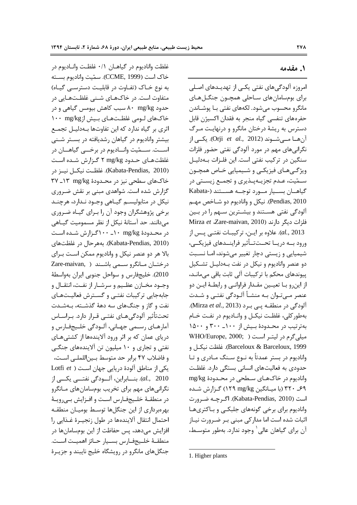غلظت واناديوم در گياهـان ٠/١ غلظـت وانـاديوم در خاك است (CCME, 1999). سمّيت واناديوم بســته

متفاوت است. در خاکهـای شـنی غلظـتهـایی در حدود ۸۰ mg/kg ۸۰ سبب کاهش بیومس گیاهی و در

اثري بر گياه ندارد كه اين تفاوتها بـهدليـل تجمـع

**1. مقدمه** 

امروزه آلودگیهای نفتی یکـی از تهدیــدهای اصـلی برای بومسامان های سـاحلی همچـون جنگـلهـای مانگرو محسوب می شود. لکههای نفتی بـا پوشـاندن حفرههای تنفسی گیاه منجر به فقدان اکسیژن قابل دسترس به ریشهٔ درختان مانگرو و درنهایت مـرگ أنهــا مــيشــوند (Orji *et al*., 2012). يكــي از نگرانیهای مهم در مورد آلودگی نفتی حضور فلزات سنگین در ترکیب نفتی است. این فلـزات بــهدلیــل ویژگـیهـای فیزیکـی و شـیمیایی خـاص همچـون ســمّيت، عــدم تجزيــهپــذيري و تجمــع زيســتي در Kabata-) گیاهــان بســیار مــورد توجــه هســتند Pendias, 2010). نيكل و واناديوم دو شــاخص مهـم آلودگی نفتی هسـتند و بیشـترین سـهم را در بـین فلزات دیگر دارند (Mirza *et Z*are-maivan, 2010 al., 2013). علاوه بر ايـن، تركيبـات نفتـى پـس از ورود بـــه دريـــا تحــتتــأثير فراينـــدهاى فيزيكـــى، شیمیایی و زیستی دچار تغییر میشوند، امـا نسـبت دو عنصر واناديوم و نيكل در نفت بــهدليــل تشــكيل پیوندهای محکم با ترکیبات آلی ثابت باقی میمانـد، از اينرو بــا تعيــين مقــدار فراوانــي و رابطــهٔ ايــن دو عنصر مـي تـوان بــه منشــأ آلــودگي نفتــي و شــدت آلودگی در منطقـه پـی بـرد (Mirza et al., 2013). بهطور کلی، غلظت نیکـل و وانــادیوم در نفـت خــام بهترتیب در محـدودهٔ بـیش از ۱۰۰\_ ۳۰۰ و ۱۵۰۰ WHO/Europe, 2000; ) میلی گرم در لیتـر اسـت Barceloux & Barceloux, 1999). غلظت نيكـل و وانادیوم در بستر عمدتاً به نــوع ســنگ مــادری و تــا حدودی به فعالیتهای انسانی بستگی دارد. غلظت واناديوم در خاکھــاي ســطحي در محــدودۂ mg/kg ۶۹ـ ۳۲۰ (با ميـانگين N۲۹ mg/kg) گـزارش شـده است (Kabata-Pendias, 2010). اگرچـه ضـرورت وانادیوم برای برخی گونههای جلبکـی و بـاکتریهـا اثبات شده است اما مدار کی مبنی بـر ضـرورت نیـاز آن برای گیاهان عالی<sup>٬</sup> وجود ندارد. بهطور متوسـط، به نوع خـاک (تفـاوت در قابليـت دسترسـي گيـاه) خاکهای لـومی غلظـتهـای بـیش از mg/kg ١٠٠

 $\overline{a}$ 

بیشتر وانادیوم در گیاهان رشدیافته در بسـتر شـنی اســـت. ســـمّيت وانـــاديوم در برخـــي گياهـــان در غلظتهای حدود T mg/kg گزارش شده است @>>
/ \*>>6
/ >>M1N .(Kabata-Pendias, 2010) خاکهای سطحی نیز در محـدودهٔ ۱۳ mg/kg - ۳۷ گزارش شده است. شواهدی مبنی بر نقش ضـروری نيكل در متابوليسـم گيـاهي وجـود نـدارد، هرچنـد برخی پژوهشگران وجود آن را بـرای گیـاه ضـروری میدانند. حد آستانهٔ نیکل از نظر مسمومیت گیـاهی در محـدودهٔ mg/kg ۱۰۰\_ ۱۰۰گـزارش شـده اسـت (Kabata-Pendias, 2010). بههر حال در غلظتهای بالا هر دو عنصر نیکل و وانادیوم ممکن است بـرای Zare-maivan, ) درختـان مـانگرو سـمی باشـند 2010). خليجفارس و سواحل جنوبي ايران بهواسطة وجــود مخــازن عظــيم و سرشــار از نفــت، انتقــال و جابهجايي تركيبات نفتـى و گسـترش فعاليـتهـاي نفت و گاز و جنگهای سه دههٔ گذشـته، بـهشـدت تحت تأثير آلودگي هـاي نفتـي قـرار دارد. بـراسـاس آمارهـاي رسـمي جهـاني، آلـودگي خلـيجفـارس و دریای عمان که بر اثر ورود آلایندهها از کشتیهـای نفتی و تجاری و ۱۰ میلیون تن آلایندههای جنگـی و فاضلاب ۴۷ برابر حد متوسط بـين|للملـي اسـت، Lotfi *et* ) اودهٔ دریایی جهان است >>6 >>%/ 83>>9: ? >> ( . *al.*, 2010 نگرانیهای مهم برای تخریب بومسامانهای مـانگرو در منطقـهٔ خلـيجفـارس اسـت و افـزايش بـىرويـهٔ بهرهبرداري از اين جنگلها توسـط بوميــان منطقــه احتمال انتقال آلايندهها در طول زنجيــرة غــذايي را افزایش میدهد، پس حفاظت از این بومسامانها در منطقــهٔ خلــيجفــارس بســيار حــائز اهميــت اســت. جنگلهای مانگرو در رویشگاه خلیج نایبند و جزیـرهٔ

<sup>1.</sup> Higher plants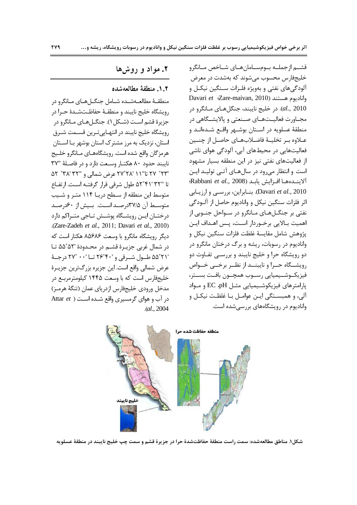قشــم ازجملــه بــومســامانهــاي شــاخص مــانگرو خلیجفارس محسوب میشوند که بهشدت در معرض آلودگیهای نفتی و بهویژه فلـزات سـنگین نیکـل و Davari et {Zare-maivan, 2010} واناديوم هستند al., 2010). در خليج نايبند، جنگلهاي مـانگرو در مجـاورت فعاليــتهــاي صــنعتي و پالايشــگاهي در منطقهٔ عسلویه در اسـتان بوشـهر واقـع شـدهانـد و عــلاوه بــر تخليــهٔ فاضــلابهــاي حاصــل از چنــين فعالیتهایی در محیطهای آبی، آلودگی هوای ناشی از فعالیتهای نفتی نیز در این منطقه بسیار مشهود است و انتظار میرود در سالهای آتی تولید این Rabbani et al., 2008) الايندهها افزايش يابد Davari et al., 2010). بنـابراين، بررسـي وارزيـابي اثر فلزات سنگین نیکل و وانادیوم حاصل از آلــودگی نفتي بر جنگــلهــاي مــانگرو در ســواحل جنــوبي از اهميت بـالايي برخـوردار اسـت، يـس اهـداف ايـن يژوهش شامل مقايسهٔ غلظت فلزات سنگين نيكل و وانادیوم در رسوبات، ریشه و برگ درختان مانگرو در دو رویشگاه حرا و خلیج نایبند و بررسـی تفـاوت دو رویشگاه حــرا و نایبنــد از نظــر برخــی خــواص فيزيكـوشــيميايي رســوب همچــون بافـت بســتر، پارامترهای فیزیکوشیمیایی مثل EC ،pH و مواد آلي، و همبسـتگي ايـن عوامـل بـا غلظـت نيكـل و وانادیوم در رویشگاههای بررسی شده است.

### ۲. مواد و روش ها

#### ٢. ١. منطقة مطالعهشده

منطقـهٔ مطالعـهشـده شـامل جنگـلهـای مـانگرو در رويشگاه خليج نايبند و منطقـهٔ حفاظـتشـدهٔ حـرا در جزيرهٔ قشم اسـت (شـكل ۱). جنگــلهـای مــانگرو در رویشگاه خلیج نایبند در انتهـاییتـرین قسـمت شـرق استان، نزدیک به مرز مشترک استان بوشهر بـا اسـتان هرمزگان واقع شده است. رویشگاههـای مـانگرو خلـیج نايبند حدود ٨٠ هكتـار وسـعت دارد و در فاصـلة "٣٧ '۲۳° ۲۷ تا''۱۱ '۲۸°۲۷ عرض شمالی و ''۳۸ '۳۸° ۵۲ تا "۵۲°۴۱'۵۲ طول شرقی قرار گرفتـه اسـت. ارتفـاع متوسط این منطقه از سـطح دریـا ۱۱۴ متـر و شـیب متوسط آن ۳۷/۵درصد است. بیش از ۶۰درصد درختــان ايــن رويشــگاه يوشــش تــاجى متــراكم دارد .(Zare-Zadeh et al., 2011; Davari et al., 2010) دیگر رویشگاه مانگرو با وسعت ۸۵۶۸۶ هکتار است که در شمال غربي جزيـرة قشـم در محـدودة '۵۵°۵۵ تـا '۵۵°۲۱ طـول شـرقي و '۲۶°۲۴ تــا '۰۰ °۲۷ درجــهٔ عرض شمالي واقع است. اين جزيره بزرگترين جزيـرۀ خلیجفارس است که با وسعت ۱۴۴۵ کیلومترمربع در مدخل ورودي خليجفارس ازدرياي عمان (تنگهٔ هرمـز) در آب و هوای گرمسیری واقع شـده اسـت ( Attar et  $. (al., 2004)$ 



شكل١. مناطق مطالعهشده: سمت راست منطقهٔ حفاظتشدهٔ حرا در جزیرهٔ قشم و سمت چپ خلیج نایبند در منطقهٔ عسلویه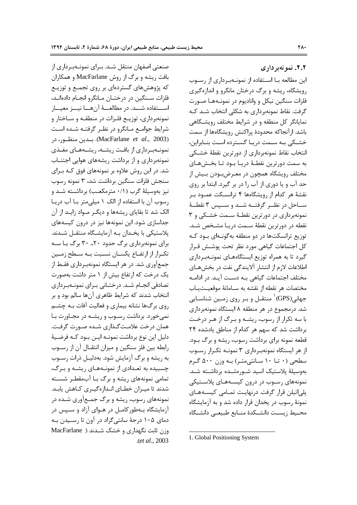صنعتی اصفهان منتقل شـد. بـرای نمونـهبـرداری از بافت ریشه و برگ از روش MacFarlane و همکاران که پژوهشهای گستردهای بر روی تجمـع و توزیـع فلزات سـنگين در درختـان مـانگرو انجـام دادهانـد، اســـتفاده شـــد. در مطالعـــهٔ آنهـــا نيـــز معيـــار نمونهبرداری، توزیـع فلـزات در منطقـه و سـاختار و شرایط جوامع مـانگرو در نظـر گرفتـه شـده اسـت (MacFarlane et al., 2003). بـدين منظـور، در نمونـهبـرداري از بافـت ريشـه، ريشـههـاي مغـذي نمونهبرداری و از برداشت ریشههای هوایی اجتنـاب شد. در این روش علاوه بر نمونههای فوق کـه بـرای سنجش فلزات سنگين برداشت شد، ۳ نمونه رسوب نیز بهوسیلهٔ گرب (۰/۱ مترمکعب) برداشته شد و رسوب آن با استفاده از الک ۱ میلی متر بـا آب دریـا الک شد تا بقایای ریشهها و دیگر مـواد زایـد از آن جداسازی شود. این نمونهها نیز در درون کیسههای یلاستیکی با یخـدان بـه آزمایشـگاه منتقـل شـدند. برای نمونهبرداری برگ حدود ۲۰\_ ۳۰ برگ بـا سـه تکرار از ارتفـاع یکسـان نسـبت بـه سـطح زمـین جمعآوری شد. در هر ایستگاه نمونهبرداری فقـط از یک درخت که ارتفاع بیش از ۱ متر داشت بهصورت تصادفی انجــام شــد. درختــانی بــرای نمونــهبــرداری انتخاب شدند که شرایط ظاهری آنها سالم بود و بر روی برگها نشانه بیماری و فعالیت آفات بـه چشـم نمیخورد. برداشت رسـوب و ریشـه در مجـاورت بـا همان درخت علامـتگـذاري شـده صـورت گرفـت. دلیل این نوع برداشت نمونـه ایـن بـود کـه فرضـیهٔ رابطه بین فلز سنگین و میزان انتقـال آن از رسـوب به ریشه و برگ آزمایش شود. بهدلیـل ذرات رسـوب چسبیده به تعـدادی از نمونـههـای ریشـه و بـرگ، تمامی نمونههای ریشه و برگ بـا آبمقطـر شسـته شدند تا میـزان خطـای انـدازهگیـری کـاهش یابـد. نمونههای رسوب، ریشه و برگ جمـع[وری شـده در آزمایشگاه بـهطور کامـل در هـوای آزاد و سـیس در دمای ۱۰۵ درجهٔ سانتیگراد در آون تا رسـیدن بـه وزن ثابت نگهداری و خشک شدند ( MacFarlane .(et al., 2003

٢.٢. نمو نهبر داری این مطالعه بــا اســتفاده از نمونــهبـرداری از رســوب رویشگاه، ریشه و برگ درختان مانگرو و اندازهگیری فلزات سنگین نیکل و وانادیوم در نمونـههـا صــورت گرفت. نقاط نمونهبرداری به شکلی انتخاب شـد کـه نمایانگر کل منطقه و در شرایط مختلف رویشگاهی باشد. ازآنجاکه محدودهٔ پراکنش رویشگاهها از سمت خشــکی بـه ســمت دریــا گســترده اسـت بنــابراین، انتخاب نقاط نمونهبرداري از دورترين نقطهٔ خشكي به سمت دورترين نقطـهٔ دريـا بــود تـا بخــشهــاي مختلف ,ویشگاه همچون در معـرض بـودن بـیش از حد آب و یا دوری از آب را در بر گیرد. ابتدا بر روی نقشهٔ هر کدام از رویشگاهها ۴ ترانسکت عمـود بـر سـاحل در نظــر گرفتــه شــد و ســپس ۳ نقطــهٔ نمونهبرداري در دورترين نقطـهٔ سـمت خشـكي و ۳ نقطه در دورترین نقطهٔ سـمت دریـا مشـخص شـد. توزیع ترانسکتها در دو منطقه بهگونـهای بـود کـه كل اجتماعات گياهي مورد نظر تحت يوشــش قــرار گیرد تا به همراه توزیع ایستگاههـای نمونـهبـرداری اطلاعات لازم از انتشار آلایندگی نفت در بخشهای مختلف اجتماعات گیاهی بـه دسـت آیـد. در ادامـه مختصات هر نقطه از نقشه به سـامانهٔ موقعیـتیـاب جهانی(GPS)` منتقــل و بـر روی زمــین شناســایی شد. درمجموع در هر منطقه ۸ ایستگاه نمونهبرداری با سه تکرار از رسوب، ریشـه و بـرگ از هـر درخـت برداشت شد که سهم هر کدام از مناطق یادشده ۲۴ قطعه نمونه برای برداشت رسوب، ریشه و برگ بود. از هر ایستگاه نمونهبرداری ۳ نمونـه تکـرار رسـوب سطحی (۰ تا ۱۰ سانتی متر) به وزن ۵۰۰ گرم بهوسیلهٔ پلاستیک اسید شـورهشـده برداشـته شـد. نمونههای رسـوب در درون کیسـههـای پلاسـتیکی یلی|تیلن قرار گرفت. درنهایـت تمـامی کیسـههـای نمونهٔ رسوب در یخدان قرار داده شد و به آزمایشگاه محيط زيست دانشكدة منـابع طبيعـى دانشـكاه

1. Global Positioning System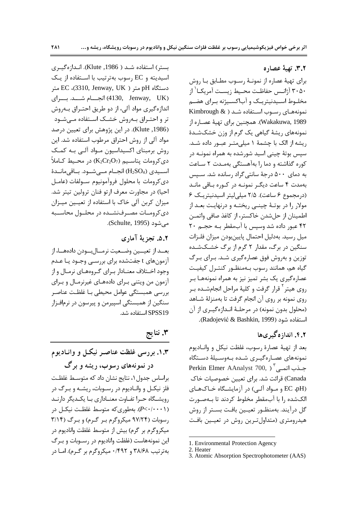بستر) استفاده شـد ( Klute ,1986). انـدازهگیـری اسیدیته و EC رسوب بهترتیب با استفاده از یک دستگاه pH متر ( 3310, Jenway, UK)، EC (4130, Jenway, UK) انجسام شسد. بسرای اندازه گیری مواد آلی، از دو طریق احتـراق بـهروش تر و احتـراق بـهروش خشـک اسـتفاده مـی شـود (1986, Klute). در این پژوهش برای تعیین درصد مواد آلی از روش احتراق مرطوب استفاده شد. این روش برمبنای اکسیداسیون مـواد آلـی بـه کمـک  $\zeta$ دىكرومات پتاسـيم (K2Cr2O7) در محـيط كـاملأ اسيدى (H2SO4) انجــام مــى شــود. بــاقى مانــدة دي كرومات با محلول فروآمونيوم ســولفات (عامــل احيا) در مجاورت معرف ارتو فنان ترولين تيتر شد. میزان کربن آلی خاک با استفاده از تعیـین میـزان دی کرومیات مصیرفنشیده در محلیول محاسیبه مے شود (Schulte, 1995).

### ۵.۲. تجزیهٔ آماری

بعــد از تعيـــين وضــعيت نرمـــالبـــودن دادههـــا، از آزمونهای t جفتشده برای بررسـی وجـود یـا عـدم وجود اختلاف معنـادار بـراي گـروههـاي نرمـال و از آزمون من ویتنی بـرای دادههـای غیرنرمـال و بـرای بررسی همبستگی عوامل محیطی بـا غلظـت عناصـر سنگین از همبستگی اسپیرمن و پیرسون در نرمافـزار SPSS19 استفاده شد.

۳. نتايج

۱.۳. بررسی غلظت عناصر نیکل و وانـادیوم در نمونههای رسوب، ریشه و برگ براساس جدول ۱، نتایج نشان داد که متوسـط غلظـت فلز نیکـل و وانــادیوم در رســوبات، ریشــه و بــرگ در رویشگاه حـرا تفـاوت معنــاداری بــا یکــدیگر دارنــد (P<۰/۰۰۰۱). بهطوری که متوسط غلظت نیکل در رسوبات (۹۷/۲۴ میکروگرم بر گرم) و برگ (۳/۱۴ میکروگرم بر گرم) بیش از متوسط غلظت وانادیوم در این نمونههاست (غلظت وانادیوم در رسـوبات و بـرگ به ترتیب ۳۸/۶۸ و ۴۹۲/۰ میکروگرم بر گرم). امـا در

٣.٢. تهية عصاره

برای تهیهٔ عصاره از نمونـهٔ رســوب مطــابق بــا روش ٣٠۵٠ آژانـس حفاظـت محـيط زيسـت آمريكـا<sup>'</sup> از مخلـوط اسـيدنيتريـک و آباکسـيژنه بـرای هضـم نمونههای رسوب استفاده شد ( Kimbrough & Wakakuwa, 1989). همچنین برای تهیهٔ عصـاره از نمونههای ریشهٔ گیاهی یک گرم از وزن خشکشـدهٔ ریشه از الک با چشمهٔ ۱ میلی متبر عبور داده شـد. سپس بوتهٔ چینی اسید شورشده به همراه نمونـه در کوره گذاشته و دما را بهآهستگی بهمدت ۲ ساعت به دمای ۵۰۰ درجهٔ سانتی گراد رسانده شد. سـیس بهمدت ۴ ساعت دیگر نمونـه در کـوره بـاقی مانـد (درمجموع ۶ ساعت). ۲/۵ میلی لیتر اسیدنیتریک ۶ مولار را در بوتـهٔ چینـی ریختـه و درنهایـت بعـد از اطمينان از حلشدن خاكستر، از كاغذ صافي واتمـن ۴۲ عبور داده شد وسیس با آبمقطر بـه حجـم ۲۰ ميل رسيد. بهدليل احتمال پايينبودن ميزان فلـزات سنگین در برگ، مقدار ۲ گرم از برگ خشــکشــده توزین و بهروش فوق عصارهگیری شـد. بـرای بـرگ گیاه هم، همانند رسوب بـهمنظـور کنتـرل کیفیـت عصارهگیری یک بشر تمیز نیز به همراه نمونههـا بـر روی هیتر<sup>۲</sup> قرار گرفت و کلیهٔ مراحل انجامشـده بـر روي نمونه بر روي آن انجام گرفت تا بهمنزلهٔ شـاهد (محلول بدون نمونه) در مرحلـهٔ انـدازهگیـری از آن استفاده شود (Radojević & Bashkin, 1999).

## ۴.۲. اندازه گیر ی ها

بعد از تهيهٔ عصارهٔ رسوب، غلظت نيكل و وانـاديوم نمونههای عصارهگیـری شـده بـهوسـیلهٔ دسـتگاه Perkin Elmer AAnalyst 700, ) جـذب اتمـى Canada) قرائت شد. برای تعیین خصوصیات خاک (PH، EC و مـواد آلـی) در آزمایشـگاه خـاکهـای الكشده ,ا با آبمقطر مخلوط كردند تا بـهصـورت گل درآیند. بهمنظـور تعیــین بافـت بســتر از روش هیدرومتری (متداولترین روش در تعیـین بافت

<sup>1.</sup> Environmental Protection Agency

<sup>2.</sup> Heater

<sup>3.</sup> Atomic Absorption Spectrophotometer (AAS)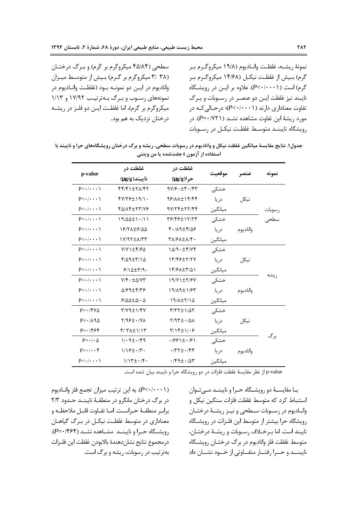نمونهٔ ریشــه، غلظـت وانــادیوم (۱۹/۸ میکروگـرم بـر گرم) بـیش از غلظـت نیکــل (۱۴/۶۸ میکروگــرم بـر گرم) است (P<・/・・۰۱). علاوه بر ایــن در رویشــگاه نایبند نیز غلظت ایـن دو عنصـر در رسـوبات و بـرگ تفاوت معناداری دارند (*P<*٠/٠٠١)؛ در حـالی کـه در مورد ريشهٔ اين تفاوت مشاهده نشـد (١/ ٧٢١). در رويشگاه نايبنــد متوســط غلظـت نيكــل در رســوبات سطحی (۴۵/۸۴ میکروگرم بر گرم) و برگ درختـان (۳۸ /۳ میکروگرم بر گرم) بیش از متوسط میزان واناديوم در ايــن دو نمونــه بــود (غلظـت وانــاديوم در نمونههای رسوب و برگ بهترتیب ۱۷/۹۲ و ۱/۱۳ میکروگرم بر گرم)، اما غلظت ایـن دو فلـز در ریشــه درختان نزدیک به هم بود.

جدول۱. نتایج مقایسهٔ میانگین غلظت نیکل و وانادیوم در رسوبات سطحی، ریشه و برگ درختان رویشگاههای حرا و نایبند با استفاده از آزمون t جفتشده یا من ویتنی

|                              | غلظت در                        | غلظت در                                        |         |          |        |
|------------------------------|--------------------------------|------------------------------------------------|---------|----------|--------|
| p-value                      | $(\mu g/g)$ نايبند             | $(\mu g/g)$ حرا                                | موقعيت  | عنصر     | نمونه  |
| $P\lt\cdot/\cdot\cdot\cdot$  | 44147±171147                   | $9Y/F \cdot \pm 7.75Y$                         | خشکی    |          |        |
| $P\lt\cdot/\cdot\cdot\cdot$  | $fV/Y$ $f \pm 19$              | 98111+14194                                    | دريا    | نيكل     |        |
| $P<\cdot/\cdot\cdot\cdot$    | FQ/14+177/VE                   | $9Y/Tf+77/Ff$                                  | ميانگين |          | رسوبات |
| $P<\cdot/\cdot\cdot\cdot$    | $19/\Delta\Delta \pm 1.711$    | ٣۶/۴۶±١٢/٢٣                                    | خشکی    |          | سطحى   |
| $P\lt\cdot/\cdot\cdot\cdot$  | 18/71+8/44                     | $f.14 + f.09$                                  | در یا   | واناديوم |        |
| $P<\cdot/\cdot\cdot\cdot$    | $1Y/97\pm\Lambda/77$           | $\Upsilon \Lambda / 5 \Lambda \pm \Lambda / 5$ | ميانگين |          |        |
| $P<\cdot/\cdot\cdot\cdot$    | $V/Y$ $\pm$ $f$ / $f$ $\Delta$ | $1\Delta$ /9 $\cdot \pm$ ۴/۷۴                  | خشکی    |          |        |
| $P\lt\cdot/\cdot\cdot\cdot$  | $f/\Delta$ 9± $f/\Delta$       | 13/45+7/7Y                                     | دريا    | نيكل     |        |
| $P<\cdot/\cdot\cdot\cdot$    | $9/10+19.$                     | 14/61 - 14/61                                  | ميانگين |          |        |
| $P<\cdot/\cdot\cdot\cdot$    | $V/F \cdot \pm \Delta/VT$      | $19/Y1 \pm Y/9Y$                               | خشکی    |          | ر يشه  |
| $P<\cdot/\cdot\cdot\cdot$    | $\Delta$ /۶۹ $\pm$ ۴/۳۶        | 19/19±1/۶۳                                     | در یا   | واناديوم |        |
| $P<\cdot/\cdot\cdot\cdot$    | $9/00 \pm 0/0$                 | $19/\lambda \pm 7/10$                          | ميانگين |          |        |
| $P = \cdot$ /۴۷۵             | $Y/Y9 \pm Y/Y$                 | $T/TT \pm 1/\Delta T$                          | خشکے    |          |        |
| $P = \cdot / \lambda \Omega$ | $Y/99 \pm 1.77$                | $Y/9T + 10\lambda$                             | در یا   | نيكل     |        |
| $P = \cdot$ /۴۶۴             | $T/T\Lambda \pm 1/T$           | $\frac{1}{2}$                                  | ميانگين |          |        |
| $P = \cdot / \cdot \Delta$   | $1/\cdot 9 \pm \cdot 199$      | $.1991 \pm .191$                               | خشکے    |          | برگ    |
| $P = \cdot / \cdot \cdot f$  | $1/12 \pm 1.7$                 | $\cdot$ /۳۲ $\pm$ $\cdot$ /۴۴                  | در یا   | واناديوم |        |
| $P<\cdot/\cdot\cdot\cdot$    | $1/17 \pm 1.7$                 | $\cdot$ /۴۹ $\pm$ $\cdot$ /۵۳                  | ميانگين |          |        |

p-value از نظر مقايسهٔ غلظت فلزات در دو رويشگاه حرا و نايبند بيان شده است.

(P<·/···۱). به این ترتیب میزان تجمع فلز وانـادیوم در برگ درختان مانگرو در منطقـهٔ نایبنــد حـدود ۲/۳ براب منطقـهٔ حـراسـت. امـا تفـاوت قابـل ملاحظـه و معناداری در متوسط غلظت نیکـل در بـرگ گیاهـان رویشگاه حـرا و نایبنــد مشــاهده نشــد (۴۶۴-P=). درمجموع نتايج نشاندهندة بالابودن غلظت اين فلـزات بهترتیب در رسوبات، ریشه و برگ است.

بـا مقايســهٔ دو رويشــگاه حــرا و نايبنــد مــىتـوان استنباط کرد که متوسط غلظت فلزات سنگین نیکل و وانــاديوم در رســوبات ســطحى و نيــز ريشــهٔ درختــان رویشگاه حرا بیشتر از متوسط این فلـزات در رویشـگاه نايبند است. اما بـرخـلاف رسـوبات و ريشــهٔ درختــان، متوسط غلظت فلز واناديوم در برگ درختــان رويشــگاه نايبنــد و حــرا رفتــار متفــاوتي از خــود نشــان داد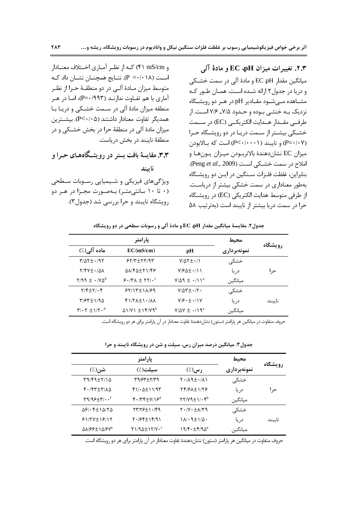**-OR !@ EC ' pH " ! 
UP 2.3.**  میانگین مقدار EC ،pH و مادهٔ آلی در سمت خشـکی و دریا در جدول ۲ ارائه شـده اسـت. همـان طـور کـه مشــاهده مــیشــود مقــادیر pH در هــر دو رویشــگاه نزدیک بــه خنثــی بــوده و حــدود ۷/۵\_ ۷/۶ اســت. از طرفــى مقــدار هــدايت الكتريكــى (EC) در ســمت خشـكى بيشـتر از سـمت دريـا در دو رويشـگاه حـرا (P=•/۰۷) و نايبند (۲۰۰۰۰) است كه بـالابودن ميزان EC نشاندهندهٔ بالاتربـودن ميـزان يـونهـا و املاح د<sub>ا</sub> سمت خشـكى اسـت (Peng et al., 2009). بنابراین، غلظت فلـزات سـنگین در ایـن دو رویشـگاه بهطور معناداری در سمت خشکی بیشتر از دریاست. از طرفی متوسط هدایت الکتریکی (EC) در رویشگاه حرا در سمت دریا بیشتر از نایبند است (بهترتیب ۵۸

و mS/cm ۴۱) کـه از نظـر آمـاري اخــتلاف معنــادار اسـت (P =٠/٠١٨). نتــايج همچنــان نشــان داد كــه متوسط ميزان مــادهٔ آلــي در دو منطقــهٔ حــرا از نظــر آماري با هم تفــاوت ندارنــد (P=٠/٩٩٣)، امــا در هــر منطقه میزان مادهٔ آلی در سـمت خشـکی و دریـا بـا همديگر تفاوت معنادار داشتند (P<۰/۰۵). بيشـترين میزان مادهٔ آلی در منطقهٔ حرا در بخش خشـکی و در منطقهٔ نایبند در بخش دریاست. **۳.۳.** مقایسهٔ بافت بستر در رویشگاههای حـرا و **ناسند** ویژگیهای فیزیکی و شـیمیایی رسـوبات سـطحی (۰ تا ۱۰ سانتی متر) به صورت مجـزا در هـر دو رویشگاه نایبند و حرا بررسی شد (جدول۳).

جدول۲. مقایسهٔ میانگین مقدار EC ،pH و مادهٔ آلی و رسوبات سطحی در دو رویشگاه

|                                                 | پارامتر                                |                                          | محيط        |         |
|-------------------------------------------------|----------------------------------------|------------------------------------------|-------------|---------|
| ماده آلی(٪)                                     | EC(mS/cm)                              | pН                                       | نمونهبرداري | رویشگاه |
| $\frac{1}{2}$                                   | $55/7$ $\pm 77/97$                     | $V/\Delta Y \pm 1$                       | خشکی        |         |
| $Y/YY_{\pm} \cdot \Delta \Lambda$               | $\Delta\lambda$ /۴ $\Delta\pm$ ۲۱/۴۶   | $V/6\pm$ $(1)$                           | د, یا       | ح       |
| $Y/99 \pm \cdot /Y0^d$                          | $9.77 \times 10^{-6}$                  | $V/\Delta$ 9 ± $\cdot$ /11 <sup>a</sup>  | ميانگين     |         |
| $Y/F_{\pm}Y/\cdot F$                            | $55/15 \pm 11/99$                      | $V/\Delta \Upsilon \pm i \Upsilon \cdot$ | خشکے        |         |
| 8/95±1/9                                        | $f/(7\lambda \pm 1.7\lambda)$          | $V/S \cdot \pm \cdot / \sqrt{V}$         | د, یا       | ناسند   |
| $\Upsilon/\cdot\Upsilon \pm 1/\Upsilon \cdot d$ | $\Delta$ 1/Y1 $\pm$ 14/Y9 <sup>b</sup> | $V/\Delta V \pm \cdot / \lambda^{a}$     | ميانگين     |         |

حروف متفاوت در میانگین هر پارامتر (ستون) نشاندهندهٔ تفاوت معنادار در آن پارامتر برای هر دو رویشگاه است.

جدول ۳. میانگین درصد میزان رس، سیلت و شن در رویشگاه نایبند و حرا

|                                                                                                 | پارامتر                                                                                     |                                                                            | محيط        |         |
|-------------------------------------------------------------------------------------------------|---------------------------------------------------------------------------------------------|----------------------------------------------------------------------------|-------------|---------|
| شن(./)                                                                                          | سىلت(٪)                                                                                     | رس(.⁄)                                                                     | نمونهبرداري | رويشكاه |
| $49/44+7/10$                                                                                    | 39/63±7/39                                                                                  | $\mathsf{Y}\cdot\mathsf{Y}\cup\mathsf{Y}\rightarrow\mathsf{Y}$             | خشکی        |         |
| $f \cdot f f + f'/\Lambda \Delta$                                                               | $f)/\cdot \Delta \pm 11/97$                                                                 | 841474776                                                                  | د, یا       | حر ا    |
| $\mathbf{r}\mathbf{9}/\mathbf{9}\mathbf{5}\pm\mathbf{7}/\mathbf{6}\cdot\mathbf{1}^{\mathrm{f}}$ | $f \cdot  T f \pm V  / 5^d$                                                                 | $\Upsilon \Upsilon / \Upsilon \pm \Upsilon \cdot \Upsilon^b$               | ميانگين     |         |
| $\Delta \mathcal{S}/\cdot \mathcal{S} \pm 1 \Delta/\mathcal{S} \Delta$                          | $\uparrow\uparrow\uparrow\uparrow\uparrow\downarrow\downarrow\uparrow\cdot\uparrow\uparrow$ | $\mathbf{Y} \cdot (\mathbf{V} \cdot \pm \mathbf{A}) \mathbf{Y} \mathbf{A}$ | خشکے        |         |
| $51/77 \pm 19/17$                                                                               | $Y.98f \pm 1991$                                                                            | $1\lambda/\cdot$ 9 $\pm$ 1/5 $\cdot$                                       | در يا       | ناسند   |
| AN/66±1A/6V°                                                                                    | $Y1/90 \pm 17/V \cdot c$                                                                    | $19/F \cdot \pm F/9\Delta^a$                                               | ميانگين     |         |

حروف متفاوت در میانگین هر پارامتر (ستون) نشاندهندهٔ تفاوت معنادار در آن پارامتر برای هر دو رویشگاه است.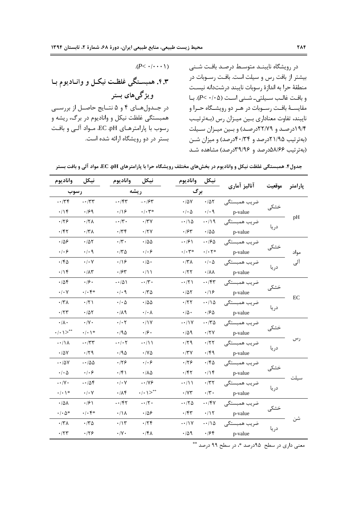در رويشگاه نايبنــد متوسـط درصـد بافـت شــنى بیشتر از بافت رس و سیلت است. بافت رسـوبات در منطقهٔ حرا به اندازهٔ رسوبات نایبند درشتدانه نیسـت وبافت غالب سيلتى- شـنى است (P< ./. ^). بــا مقایسـهٔ بافـت رسـوبات در هـر دو رویشـگاه حـرا و نايبند، تفاوت معناداري بـين ميـزان رس (بـهترتيـب ۱۹/۴درصد و ۲۲/۷۹درصد) و بین میزان سیلت (بهترتیب ۲۱/۹۵درصد و ۴۰/۳۴درصد) و میزان شـن (بهترتیب ۵۸/۶۶درصد و ۳۹/۹۶درصد) مشاهده شـد

| $(P< \cdot/\cdot\cdot\cdot)$                     |
|--------------------------------------------------|
| ۴.۳. همبسـتگی غلظـت نیکـل و وانـادیوم بـا        |
| و یژگیهای بستر                                   |
| در جـدولهـاي ۴ و ۵ نتـايج حاصـل از بررســي       |
| همبستگی غلظت نیکل و وانادیوم در برگ، ریشه و      |
| رسوب با پارامترهـای EC ،pH، مــواد آلــی و بافـت |
| بستر در دو رویشگاه ارائه شده است.                |
|                                                  |

جدول۴. همبستگی غلظت نیکل و وانادیوم در بخشهای مختلف رویشگاه حرا با پارامترهای EC .pH، مواد آلی و بافت بستر

| واناديوم                     | نيكل                         | واناديوم                   | نيكل                         | واناديوم                     | نيكل                              | آناليز آماري   |        |         |
|------------------------------|------------------------------|----------------------------|------------------------------|------------------------------|-----------------------------------|----------------|--------|---------|
| رسوب                         |                              |                            | ريشه                         | برگ                          |                                   |                | موقعيت | پارامتر |
| $-\cdot$ /٣۴                 | $-177$                       | $-154$                     | $- \cdot 194$                | $\cdot$ / $\Delta$ Y         | .707                              | ضريب همبستگى   |        |         |
| $\cdot/\prime$               | .199                         | $\cdot/\sqrt{2}$           | $\cdot/\cdot$ $\mathsf{r}^*$ | $\cdot/\cdot \Delta$         | $\cdot/\cdot$ 9                   | p-value        | خشکی   |         |
| .179                         | $\cdot$ /٢٨                  | $-\cdot/\tau$ .            | $\cdot$ /٣٧                  | $-110$                       | $-\cdot/9$                        | ضريب همبستگى   |        | pH      |
| $\cdot$ /۴۲                  | $\cdot$ /٣٨                  | $\cdot$ /۳۴                | $\cdot$ /۲ $\vee$            | $\cdot$ /۶۳                  | $\cdot$ /00                       | p-value        | در یا  |         |
| .109                         | .705                         | $\cdot$ /۳ $\cdot$         | $\cdot$ /00                  | $-19$                        | $-190$                            | ضريب همبستگى   |        |         |
| $\cdot$ / $\cdot$ 6          | $\cdot$ / $\cdot$ 9          | $\cdot$ $\nmid$ ۳۵         | $\cdot$ / $\cdot$ 6          | $\cdot/\cdot$ $\mathsf{y}^*$ | $\cdot/\cdot$ $\mathsf{Y}^*$      | p-value        | خشکی   | مواد    |
| $\cdot$ /۴۵                  | $\cdot$ / $\cdot$ $\vee$     | .199                       | $\cdot/\Delta$ .             | $\cdot$ /٣٨                  | $\cdot$ / $\cdot$ $\wedge$        | ضریب همبستگے ٖ |        | آلى     |
| .79                          | $\cdot/\lambda\tau$          | $\cdot$ /۶۳                | $\cdot/\wedge$               | $\cdot$ /۲۲                  | $\cdot/\lambda\lambda$            | p-value        | دريا   |         |
| $\cdot$ /54                  | .19.                         | $-101$                     | $-\cdot/\tau$ .              | $-17)$                       | $-\cdot/\mathfrak{F}\mathfrak{r}$ | ضريب همبستگى   | خشکے   |         |
| $\cdot$ / $\cdot$ $\vee$     | $\cdot/\cdot$ ۴*             | $\cdot$ / $\cdot$ 9        | $\cdot$ $/70$                | $\cdot/\Delta\Upsilon$       | $\cdot$ /18                       | p-value        |        |         |
| $\cdot$ /۳ $\Lambda$         | $\cdot$ /۲)                  | $\cdot$ / $\cdot$ $\Delta$ | $\cdot$ /00                  | $\cdot$ /۲۲                  | $-\cdot/\lambda$                  | ضريب همبستگى   |        | EC      |
| $\cdot$ /٢٣                  | $\cdot/\Delta\Upsilon$       | .71                        | $\cdot/\cdot \wedge$         | $\cdot/\Delta \cdot$         | $\cdot$ /20                       | p-value        | دريا   |         |
| $\cdot/\lambda \cdot$        | $\cdot/\Upsilon$             | $\cdot/\cdot$ $\mathsf{Y}$ | $\cdot/1$                    | $-11V$                       | $-170$                            | ضريب همبستگى   | خشکی   |         |
| $\cdot$ / $\cdot$ 1 $>^{**}$ | $\cdot/\cdot$ \*             | .790                       | $\cdot$ /9 $\cdot$           | .409                         | $\cdot$ /۲۷                       | p-value        |        |         |
| $-\cdot/\\lambda$            | $- \cdot / \tau \tau$        | $- \cdot / \cdot 7$        | $-\cdot/11$                  | $\cdot$ /۲۹                  | $\cdot$ /۲۲                       | ضريب همبستگى   |        | رس      |
| $\cdot$ / $\Delta V$         | $\cdot$ /۲۹                  | .790                       | $\cdot$ / $\vee$ $\triangle$ | $\cdot$ /٣٧                  | $\cdot$ /۴۹                       | p-value        | در يا  |         |
| $-10V$                       | $-100$                       | .179                       | .   . 9                      | .179                         | $\cdot$ /۴۵                       | ضريب همبستگى   | خشکی   |         |
| $\cdot$ / $\cdot$ $\Delta$   | $\cdot$ / $\cdot$ $\epsilon$ | $\cdot$ /۴۱                | ۰/۸۵                         | $\cdot$ /۴۲                  | $\cdot/\prime$                    | p-value        |        | سيلت    |
| $- \cdot / \mathrm{V} \cdot$ | $-10f$                       | $\cdot/\cdot$ Y            | $-1/\sqrt{5}$                | $-1$                         | $\cdot$ /٣٢                       | ضريب همبستگى   |        |         |
| $\cdot/\cdot\setminus\ast$   | $\cdot/\cdot$ Y              | $\cdot/\lambda$ ۴          | $\cdot/\cdot$ \>**           | $\cdot$ /Y۳                  | $\cdot/\tau \cdot$                | p-value        | دريا   |         |
| $\cdot/\Delta\lambda$        | $\cdot$ /2)                  | $-145$                     | $-17.$                       | $-170$                       | $-\cdot$ /۴۷                      | ضريب همبستگى   | خشکی   |         |
| $\cdot$ / $\cdot$ $\Delta^*$ | $\cdot/\cdot$ ۴*             | $\cdot/\Lambda$            | .109                         | $\cdot$ /۴۳                  | $\cdot/\gamma$                    | p-value        |        |         |
| $\cdot$ /٣٨                  | .70                          | .115                       | .75                          | $-\cdot/1V$                  | $-110$                            | ضريب همبستگى   |        |         |
| $\cdot$ /۲۳                  | $\cdot$ /۲۶                  | $\cdot/\Upsilon$           | $\cdot$ /۴۸                  | .709                         | $\cdot$ /۶۴                       | p-value        | دريا   |         |

|  |  |  |  |  |  | معنی داری در سطح ۹۵درصد *، در سطح ۹۹ درصد ** |  |  |  |  |
|--|--|--|--|--|--|----------------------------------------------|--|--|--|--|
|--|--|--|--|--|--|----------------------------------------------|--|--|--|--|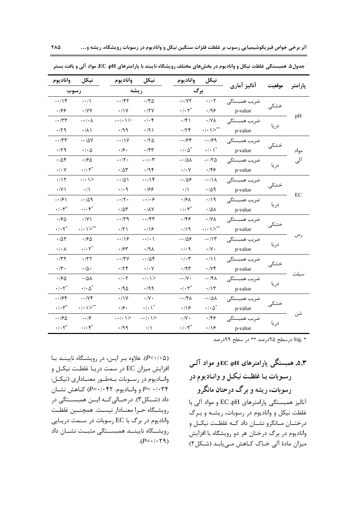| واناديوم                  | نيكل                         | واناديوم                                                                                                                                                                                                                      | نيكل                           | واناديوم                                                   | نيكل                            | آناليز آماري |        |         |
|---------------------------|------------------------------|-------------------------------------------------------------------------------------------------------------------------------------------------------------------------------------------------------------------------------|--------------------------------|------------------------------------------------------------|---------------------------------|--------------|--------|---------|
| رسوب                      |                              |                                                                                                                                                                                                                               | ريشه                           | برگ                                                        |                                 |              | موقعيت | پارامتر |
| $-\cdot/15$               | $-1$                         | $-14$                                                                                                                                                                                                                         | $\cdot$ /٣ $\Delta$            | $-1YY$                                                     | $\cdot/\cdot$ $\mathsf{r}$      | ضريب همبستگي |        |         |
| .199                      | $\cdot$ /YY                  | $\cdot$ /\Y                                                                                                                                                                                                                   | $\cdot$ /٢٧                    | $\cdot$ / $\cdot$ $\mathsf{Y}^*$                           | .499                            | p-value      | خشکی   |         |
| $- \cdot / \tau \tau$     | $-\cdot/\cdot \wedge$        | $- \cdot / \cdot$ \>                                                                                                                                                                                                          | $\cdot/\cdot$ ۴                | $\cdot$ /۴۱                                                | $\cdot$ /Y $\wedge$             | ضريب همبستگى |        | pH      |
| .71                       | $\cdot/\lambda$              | .799                                                                                                                                                                                                                          | $\cdot$ /9)                    | $\cdot$ /۲۴                                                | $\cdot$   $\cdot$   $>^{**}$    | p-value      | در یا  |         |
| $- \cdot / \tau \tau$     | $-10V$                       | $-11V$                                                                                                                                                                                                                        | .70                            | $-188$                                                     | $-199$                          | ضریب همبستگی |        |         |
| .71                       | $\cdot$ / $\cdot$ $\Delta$   | $\cdot$ /9 $\cdot$                                                                                                                                                                                                            | $\cdot$ /۴۳                    | $\cdot$ / $\cdot$ $\vartriangle$ $\overline{\vartriangle}$ | $\cdot/\cdot$ \*                | p-value      | خشکی   | مواد    |
| $\cdot$ / $\Delta f$      | $\cdot$ /۶۵                  | $- \cdot / \cdot$                                                                                                                                                                                                             | $-\cdot/\cdot \tau$            | $-\cdot/\Delta\lambda$                                     | $-170$                          | ضریب همبستگی | دريا   | آلی     |
| $\cdot/\cdot$ Y           | $\cdot/\cdot \curlyvee^*$    | $\cdot$ / $\Delta \mathsf{r}'$                                                                                                                                                                                                | .795                           | $\cdot/\cdot$ Y                                            | $\cdot$ /۴۶                     | p-value      |        |         |
| .115                      | $\cdot/\cdot$ \>             | $-101$                                                                                                                                                                                                                        | $-114$                         | $-109$                                                     | $-\cdot/\lambda$                | ضريب همبستگى |        |         |
| $\cdot$ /Y)               | $\cdot/\Lambda$              | $\cdot$ / $\cdot$ 9                                                                                                                                                                                                           | .199                           | $\cdot/\Lambda$                                            | .709                            | p-value      | خشکے   |         |
| $-191$                    | $-109$                       | $-17$ .                                                                                                                                                                                                                       | $-1.6$                         | $\cdot$ /۶۸                                                | .719                            | ضريب همبستگى |        | EC      |
| $\cdot/\cdot \tau^*$      | $\cdot/\cdot$ f <sup>*</sup> | $\cdot/\Delta\mathsf{r}$                                                                                                                                                                                                      | $\cdot/\lambda\mathrm{V}$      | $\cdot/\cdot$ $\mathsf{r}^*$                               | $\cdot/\Delta\lambda$           | p-value      | در یا  |         |
| $\cdot$ /60               | $\cdot$ /Y \                 | $-\cdot 79$                                                                                                                                                                                                                   | $-144$                         | $\cdot$ /۴۶                                                | $\cdot$ /Y $\wedge$             | ضريب همبستگى |        |         |
| $\cdot/\cdot \tau^*$      | $\cdot$   $\cdot$   $>^{**}$ | $\cdot$ /٢١                                                                                                                                                                                                                   | $\cdot$ /18                    | $\cdot/\gamma$                                             | $\cdot/\cdot$ \>**              | p-value      | خشکی   |         |
| .705                      | $\cdot$ /۶۵                  | $-119$                                                                                                                                                                                                                        | $-\cdot/\cdot$ )               | $-105$                                                     | $-115$                          | ضریب همبستگی |        | رس      |
| $\cdot/\cdot \wedge$      | $\cdot/\cdot \gamma^*$       | $\cdot$ / $54$                                                                                                                                                                                                                | .44.                           | $\cdot$ / $\cdot$ 9                                        | $\cdot/\Upsilon$ .              | p-value      | در یا  |         |
| $\cdot$ /۳۲               | $\cdot$ /٢٢                  | $- \cdot / \mathbf{\tilde{v}} \mathbf{V}$                                                                                                                                                                                     | $-10f$                         | $\cdot/\cdot \tau$                                         | $\cdot/$                        | ضريب همبستگى |        |         |
| $\cdot/\tau$ .            | $\cdot/\Delta$ .             | .75                                                                                                                                                                                                                           | $\cdot/\cdot$ Y                | $\cdot$ /9٣                                                | $\cdot$ / $\vee$ $\check{\tau}$ | p-value      | خشکی   |         |
| $\cdot$ /۶ $\uparrow$     | $\cdot/\Delta\Lambda$        | $\cdot$ / $\cdot$ $\uparrow$                                                                                                                                                                                                  | $\cdot$ / $\cdot$ / $>$        | - $\cdot$ /Y $\cdot$                                       | $-\cdot$ /۴ $\Lambda$           | ضریب همبستگی |        | سيلت    |
| $\cdot/\cdot \curlyvee^*$ | $\cdot/\cdot \Delta^*$       | $.40 \times$                                                                                                                                                                                                                  | $\cdot$ /99                    | $\cdot$ / $\cdot$ $\tau^*$                                 | $\cdot/\gamma$                  | p-value      | در یا  |         |
| $-199$                    | $-1/\gamma$ ۴                | $\cdot$ /\Y                                                                                                                                                                                                                   | $\cdot/\Upsilon$ .             | $-\cdot$ /۴۸                                               | $-\cdot/\Delta\lambda$          | ضريب همبستگى |        |         |
| $\cdot/\cdot \tau^*$      | $\cdot$ / $\cdot$ / $>^{**}$ | $\cdot$ /۶ $\cdot$                                                                                                                                                                                                            | $\cdot/\cdot \left. \right.^*$ | $\cdot$ /16                                                | $\cdot/\cdot \Delta^*$          | p-value      | خشکی   |         |
| $-190$                    | $-19$                        | $\mathord{\text{--}}\mathord{\cdot}\mathord{\mathord{\;\mathsf{--}\,}}\mathord{\mathord{\;\mathsf{--}\!\!\mathsf{--}\,}}\mathord{\mathord{\;\mathsf{--}\!\!\mathsf{--}\,}}\mathord{\mathord{\;\mathsf{--}\!\!\mathsf{--}\,}}$ | $- \cdot / \cdot$ \>           | $\cdot/\Upsilon$ .                                         | $\cdot$ /۴۶                     | ضریب همبستگی |        | شن      |
| $\cdot/\cdot \tau^*$      | $\cdot/\cdot$ ۴ $*$          | $\cdot$ /99                                                                                                                                                                                                                   | $\cdot/\wedge$                 | $\cdot/\cdot$ $\mathsf{r}^*$                               | $\cdot$ /16                     | p-value      | دريا   |         |

جدول۵. همبستگی غلظت نیکل و وانادیوم در بخشهای مختلف رویشگاه نایبند با پارامترهای EC .pH، مواد آلی و بافت بستر

 $S_1$ 39 در سطح ۹۵در صد \*\* در سطح ۹۹درصد  $\sin^*$ 

**۳.۵. ه**مبستگی پارامترهای EC به EC و مواد آلـی رسوبات بـا غلظـت نيكـل و وانـاديوم در رسوبات، ریشه و برگ درختان مانگرو آنالیز همبستگی پارامترهای EC ،pH و مواد آلی با غلظت نیکل و وانادیوم در رسوبات، ریشـه و بـرگ درختــان مــانگرو نشــان داد كــه غلظــت نيكــل و وانادیوم در برگ درختان هر دو رویشگاه با افزایش میزان مادهٔ آلی خـاک کـاهش مـییابـد (شـکل۲)

(P<٠/٠۵). علاوه بر این، در رویشگاه نایبند با افزایش میزان EC در سمت دریـا غلظـت نیکـل و واناديوم در رسـوبات بـهطـور معنـاداري (نيكـل: >L/ F.>U (*P*= 042/0 32 : >/ *P*= 034/0 داد (شــكل۳). درحــالىكــه ايــن همبســتگى در رويشـگاه حـرا معنــادار نيسـت. همچنــين غلظـت وانادیوم در برگ با EC رسوبات در ســمت دریــایی رويشــگاه نايبنــد همبســتگى مثبــت نشــان داد  $(P=\cdot / \cdot \tau)$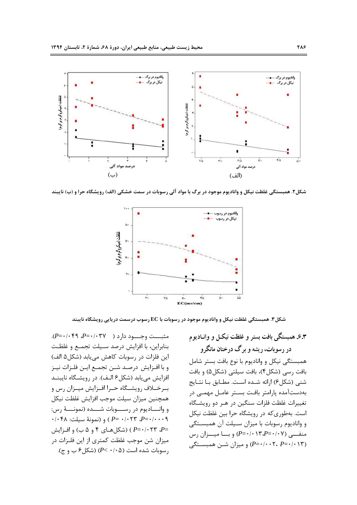

شکل۲. همبستگی غلظت نیکل و وانادیوم موجود در برگ با مواد آلی رسوبات در سمت خشکی (الف) رویشگاه حرا و (ب) نایبند



شکل ۳. همبستگی غلظت نیکل و وانادیوم موجود در رسوبات با EC رسوب درسمت دریایی رویشگاه نایبند

 .(*P*= 049/0 *P*= 037/0 ) 3>>>, >>>z بنابراين، با افزايش درصد سـيلت تجمـع و غلظـت ين فلزات در رسوبات كاهش مي يابد (شكل۵ الف)  $\overline{\phantom{a}}$ و با افـزايش درصـد شـن تجمـع ايـن فلـزات نيـز افزایش می یابد (شکل۶ الـف). در رویشـگاه نایبنــد بـرخــلاف رويشــگاه حــرا افــزايش ميــزان رس و همچنین میزان سیلت موجب افزایش غلظت نیکل و وانساديوم در رســــوبات شــــده (نمونــــهٔ رس: 048/0 :1
4 I /3/ ( ) *P*= 023/0 *P*= /0 0009 F @>A 4 5 \ ( ->.\*6 ( ) *P*= 023/0 *P*= میزان شن موجب غلظت کمتری از این فلـزات در  $( P < \cdot / \cdot \Delta )$  (سوبات شده است ( $P < \cdot / \cdot \Delta$ ).

**۳**.۶ همبستگی بافت بستر و غلظت نیکـل و وانـادیوم در رسوبات، ریشه و برگ درختان مانگرو همبستگی نیکل و وانادیوم با نوع بافت بستر شامل بافت رسی (شکل۴)، بافت سیلتی (شکل۵) و بافت شنبي (شكلع) ارائه شـده اسـت. مطـابق بـا نتـايج بهدستآمده یارامتر بافت بستر عامـل مهمـی در تغییرات غلظت فلزات سنگین در هـر دو رویشـگاه است. بهطوریکه در رویشگاه حرا بین غلظت نیکل و واناديوم رسوبات با ميزان سـيلت آن همبسـتگى  $(\omega, \omega)$  منف<sub>سی</sub> (*P*=•/• ۱۳،*P*=•/۰۷ و بسا میسزان رس (P= · / · · ۲، *P*= · / · ۰۲، *P*= ) و میزان شبن همیستگی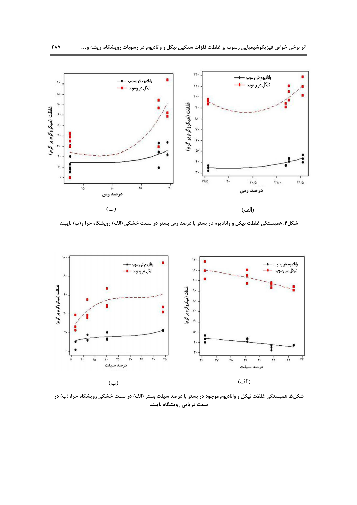

شکل۴. همبستگی غلظت نیکل و وانادیوم در بستر با درصد رس بستر در سمت خشکی (الف) رویشگاه حرا و(ب) نایبند



شکل۵. همبستگی غلظت نیکل و وانادیوم موجود در بستر با درصد سیلت بستر (الف) در سمت خشکی رویشگاه حرا، (ب) در سمت دریایی رویشگاه نایبند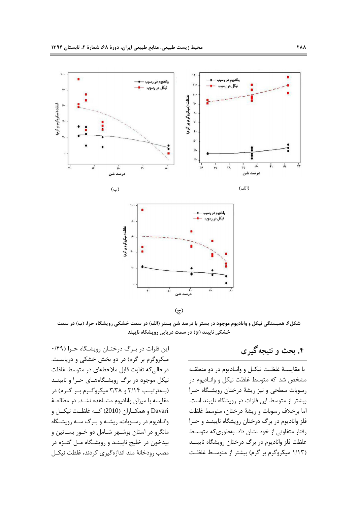



 $\mathfrak{c}$ 

شکل۶. همبستگی نیکل و وانادیوم موجود در بستر با درصد شن بستر (الف) در سمت خشکی رویشگاه حرا، (ب) در سمت خشکی نایبند (ج) در سمت دریایی رویشگاه نایبند

# ۴. بحث و نتیجه گیر ی

با مقايسـهٔ غلظـت نيكـل و وانـاديوم در دو منطقـه مشخص شد که متوسط غلظت نیکل و وانـادیوم در رسوبات سطحی و نیز ریشهٔ درختان رویشگاه حـرا بیشتر از متوسط این فلزات در رویشگاه نایبند است. اما برخلاف رسوبات و ريشهٔ درختان، متوسط غلظت فلز وانادیوم در برگ درختان رویشگاه نایبنـد و حـرا رفتار متفاوتی از خود نشان داد. بهطوری که متوسط غلظت فلز واناديوم در برگ درختان رويشگاه نايبنــد (۱/۱۳ میکروگرم بر گرم) بیشتر از متوسط غلظت

ین فلزات در بـرگ درختـان رویشـگاه حـرا (۴۹/۰  $\overline{\phantom{a}}$ میکروگرم بر گرم) در دو بخش خشکی و دریاست. درحالی که تفاوت قابل ملاحظهای در متوسط غلظت نیکل موجود در برگ رویشگاههای حـرا و نایبنــد (به ترتیب ۳/۱۴ و ۳/۳۸ میکروگ وم ب گرم) در مقايسه با ميزان واناديوم مشــاهده نشــد. در مطالعــهٔ .<br>Davari و همكــاران (2010) كــه غلظــت نيكــل و وانـاديوم در رســوبات، ريشــه و بــرگ ســه رويشــگاه مانگرو در استان بوشــهر شــامل دو خــور بســاتین و بیدخون در خلیج نایبنـد و رویشـگاه مـل گنـزه در مصب رودخانهٔ مند اندازهگیری کردند، غلظت نیکـل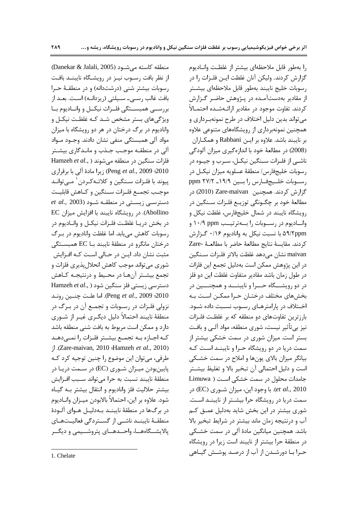(Danekar & Jalali, 2005) منطقه كاسته مى شــود از نظر بافت رســوب نيــز در رويشــگاه نايبنــد بافـت رسوبات بیشتر شنی (درشتدانه) و در منطقهٔ حـرا بافت غالب رسـي- سـيلتي (ريزدانــه) اسـت. بعــد از بررســي همبســتگي فلــزات نيكــل و وانــاديوم بــا ویژگیهای بستر مشخص شـد کـه غلظـت نیکـل و وانادیوم در برگ درختان در هر دو رویشگاه با میزان مواد آلی همبستگی منفی نشان دادند. وجــود مــواد آلی در منطقـه موجـب جـذب و مانـدگاری بیشـتر Hamzeh et al., ) فلزات سنگین در منطقه میشوند 2010؛ Peng *et al.*, 2009) زيرا مادة آلى با برقرارى پیوند با فلـزات سـنگین و کلاتـهکـردن<sup>۱</sup> مـیتوانـد موجـب تجمـع فلـزات سـنگين و كـاهش قابليـت  $\emph{et al.,}$  2003) دسترســی زیســتی در منطقــه شــود Abollino). در رویشگاه نایبند با افزایش میزان EC در بخش دريــا غلظـت فلــزات نيكــل و وانــاديوم در رسوبات كاهش مىيابد. اما غلظت واناديوم در بـرگ درختان مانگرو در منطقهٔ نایبند بـا EC همبسـتگی مثبت نشان داد. ایــن در حــالی اســت کــه افــزایش شوري ميتواند موجب كاهش انحلال پذيري فلزات و تجمع بيشـتر آنهـا در محـيط و درنتيجـه كـاهش دسترسی زیستی فلز سنگین شود ( ,Hamzeh *et al*  5>/ ?
>q >1S .( Peng *et al*., 2009 c2010 نزولی فلـزات در رسـوبات و تجمـع آن در بـرگ در منطقهٔ نایبند احتمالاً دلیل دیگـری غیـر از شـوری دارد و ممکن است مربوط به بافت شنبی منطقه باشد كـه اجــازه بــه تجمــع بيشــتر فلــزات را نمـــ دهــد .( Zare-maivan, 2010 cHamzeh *et al.*, 2010) طرفي، مي توان اين موضوع را چنين توجيه كرد كـه پایینبودن میـزان شـوري (EC) در سـمت دريـا در منطقهٔ نایبند نسبت به حرا میتواند سـبب افـزایش بيشتر حلاليت فلز واناديوم و انتقال بيشتر بـه گيــاه شود. علاوه بر اين، احتمالاً بالابودن ميــزان وانــاديوم در برگ ها در منطقهٔ نایبنــد بــهدلیــل هــوای آلــودهٔ منطقـهٔ نایبنــد ناشــی از گســتردگی فعالیــتهــای پالایشــگاههــا، واحــدهــای پتروشــيمی و ديگــر

را بهطور قابل ملاحظهاى بيشتر از غلظت وانـاديوم گزارش كردند. وليكن آنان غلظت ايـن فلــزات را در رسوبات خليج نايبند بهطور قابل ملاحظهاى بيشـتر از مقادیر بهدستآمـده در پـژوهش حاضـر گـزارش كردند. تفاوت موجود در مقادير ارائــهشــده احتمــالاً میتواند بدین دلیل اختلاف در طرح نمونهبرداری و همچنین نمونهبرداری از رویشگاههای متنوعی علاوه بر نايبند باشد. علاوه بر ايـن Rabbani و همكـاران (2008) در مطالعهٔ خود با اندازهگیری میزان آلودگی ناشـي از فلـزات سـنگين نيكـل، سـرب و جيـوه در رسوبات خلیجفارس/ منطقهٔ عسلویه میزان نیکـل در رسوبات خليجفارس را بين ١٩/٩\_ ppm گزارش کردند. همچنین Zare-maivan (2010) در مطالعهٔ خود بر چگـونگی توزیــع فلــزات ســنگین در رویشگاه نایبند در شمال خلیجفارس، غلظت نیکل و وانساديوم در رسسوبات را بسهترتيسب ۱۰/۹ ppm و ۵۹/۲ppm با نسبت نيكل به واناديوم ۰/۱۶ گـزارش كردند. مقايسهٔ نتايج مطالعهٔ حاضر با مطالعـهٔ -Zare maivan نشان مي دهد غلظت بالاتر فلـزات سـنگين در این پژوهش ممکن است بهدلیل تجمع این فلزات در طول زمان باشد مقادير متفاوت غلظت اين دو فلز در دو رویشـــگاه حـــرا و نایبنـــد و همچنــــین در بخشهای مختلف درختـان حـرا ممکــن اسـت بـه اخـتلاف در يارامترهـاي رسـوب نسـبت داده شـود. بارزترین تفاوتهای دو منطقه که بر غلظت فلـزات نیز بی تأثیر نیست، شوری منطقه، مواد آلـی و بافـت بستر است. میزان شوری در سمت خشکی بیشتر از سمت دریا در دو رویشگاه حـرا و نایبنــد اسـت کـه بیانگر میزان بالای یونها و املاح در سمت خشـکی است و دليل احتمالي آن تبخير بالا و تغليظ بيشـتر جامدات محلول در سمت خشکی است ( Limuwa et al., 2010). با وجود این، میزان شـوری (EC) در سمت دریا در رویشگاه حرا بیشـتر از نایبنـد اسـت. شوری بیشتر در این بخش شاید بهدلیل عمـق کـم آب و درنتیجه زمان ماند بیشتر در شرایط تبخیر بالا باشد. همچنین میانگین مادهٔ آلی در سمت خشـکی در منطقهٔ حرا بیشتر از نایبند است زیرا در رویشگاه حـرا بــا دورشــدن از آب از درصـد پوشــش گیــاهی

 $\overline{a}$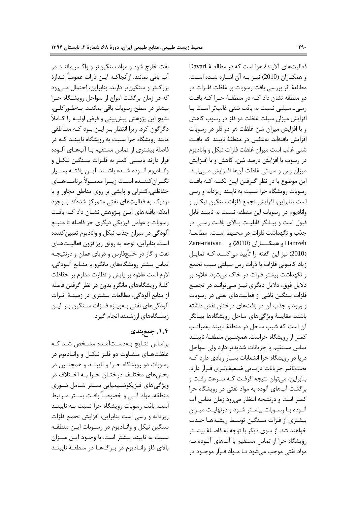نفت خارج شود و مواد سنگینتر و واکسماننـد در آب باقي بمانند. ازآنجاكـه ايــن ذرات عمومــأ انــدازهٔ بزرگتر و سنگینتر دارند، بنابراین، احتمال مـیرود كه در زمان برگشت امواج از سواحل رويشگاه حـرا بیشتر در سطح رسوبات باقی بماننـد. بـهطـور کلــی، نتايج اين پژوهش پيشبيني و فرض اوليــه را كــاملاً دگرگون کرد. زیرا انتظار بـر ایـن بـود کـه منــاطقي مانند رویشگاه حرا نسبت به رویشگاه نایبنـد کـه در فاصلهٔ بیشتری از تماس مستقیم بـا آبهـای آلـوده قرار دارند بايستي كمتر به فلـزات سـنگين نيكـل و وانــاديوم آلــوده شــده باشــند. ايــن يافتــه بســيار نگــران كننـــده اســت زيــرا معمــولأ برنامـــههــاي حفاظتی،کنترلی و پایشی بر روی مناطق مجاور و یا نزدیک به فعالیتهای نفتی متمرکز شدهاند با وجود ینکه یافتههای ایـن پـژوهش نشـان داد کـه بافـت  $\overline{\phantom{a}}$ رسوبات و عوامل فیزیکی دیگری جز فاصله تا منبـع آلودگی در میزان جذب نیکل و وانادیوم تعیین کننده است. بنابراین، توجه به رونق روزافزون فعالیـتهـای نفت و گاز در خلیجفارس و دریای عمان و درنتیجـه تماس بیشتر رویشگاههای مانگرو با منــابع آلــودگی، لازم است علاوه بر پایش و نظارت مداوم بر حفاظت كليهٔ رويشگاههاي مانگرو بدون در نظر گرفتن فاصله از منابع آلودگی، مطالعات بیشتری در زمینـهٔ اثـرات آلودگیهای نفتی بـهویـژه فلـزات سـنگین بـر ایـن زیستگاههای ارزشمند انجام گیرد.

#### **08CZ .1.4**

براساس نتـايج بـهدسـتآمـده مشـخص شـد كـه غلظتهـاى متفـاوت دو فلـز نيكـل و وانـاديوم در رسوبات دو رویشگاه حـرا و نایبنــد و همچنــین در بخشهای مختلف درختـان حـرا بـه اخـتلاف در ویژگیهای فیزیکوشـیمیایی بسـتر شـامل شـوری منطقه، مواد آلـي و خصوصـاً بافـت بسـتر مـرتبط است. بافت رسوبات رويشگاه حرا نسبت بـه نايبنــد ریزدانه و رسی است بنابراین، افزایش تجمع فلزات سنگین نیکل و وانـادیوم در رسـوبات ایـن منطقـه نسبت به نايبند بيشتر است. با وجــود ايــن ميــزان بالای فلز وانــادیوم در بــرگ&ــا در منطقــهٔ نایبنــد

فعاليتهاى آلايندهٔ هوا است كه در مطالعـهٔ Davari و همكـاران (2010) نيـز بـه آن اشـاره شـده اسـت. مطالعهٔ اثر بررسی بافت رسوبات بر غلظت فلـزات در دو منطقه نشان داد کـه در منطقـهٔ حـرا کـه بافـت رسی۔ سیلتی نسبت به بافت شنی غالبتر است با افزایش میزان سیلت غلظت دو فلز در رسوب کاهش و با افزایش میزان شن غلظت هر دو فلز در رسوبات افزایش یافتهاند. بهعکس در منطقهٔ نایبند که بافت شنی غالب است میزان غلظت فلزات نیکل و وانادیوم در رسوب با افزایش درصد شن، کاهش و با افــزایش میزان رس و سیلتی غلظت آنها افـزایش مـییابـد. ین موضوع با در نظر گـرفتن ایـن نکتـه کـه بافـت  $\overline{\phantom{a}}$ رسوبات رویشگاه حرا نسبت به نایبند ریزدانه و رسی است بنابراین، افزایش تجمع فلزات سنگین نیکـل و واناديوم در رسوبات اين منطقه نسبت به نايبند قابل قبول است و بیـانگر قابلیـت بـالای بافـت رسـی در جذب و نگهداشت فلزات در محـيط اسـت. مطالعـهٔ Zare-maivan ( 2010) >>>>6. Hamzeh (2010) نیز این گفته را تأیید میکننـد کـه تمایـل زیاد کاتیونی فلزات با ذرات رس سیلتی سبب تجمع و نگهداشت بیشتر فلزات در خاک می شود. علاوه بر دلایل فوق، دلایل دیگری نیـز مـیتوانـد در تجمـع فلزات سنگین ناشی از فعالیتهای نفتی در رسوبات و ورود و جذب آن در بافتهای درختان نقش داشته باشند. مقايسهٔ ويژگىهاى ساحل رويشگاهها بيـانگر آن است که شیب ساحل در منطقهٔ نایبند بهمراتب كمتر از رويشگاه حراست. همچنـين منطقــهٔ نايبنــد تماس مستقیم با جریانات شدیدتر دارد ولی سواحل دریا در رویشگاه حرا انشعابات بسیار زیادی دارد کـه تحت تأثير جريانات دريــايي ضــعيفتــري قــرار دارد. بنابراین، میتوان نتیجه گرفت کـه سـرعت رفـت و برگشت آبهای آلوده به مواد نفتی در رویشگاه حرا كمتر است و درنتيجه انتظار مى رود زمان تماس آب آلـوده بـا رســوبات بيشــتر شــود و درنهايـت ميــزان بیشتری از فلزات سـنگین توسـط ریشـههـا جـذب خواهند شد. از سوی دیگر با توجه به فاصـلهٔ بیشـتر رويشگاه حرا از تماس مستقيم با آبهاي آلـوده بـه مواد نفتي موجب مے شود تــا مــواد فــرّار موجــود در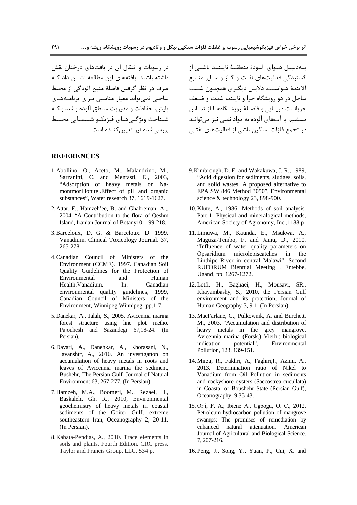در رسوبات و انتقال آن در بافتهای درختان نقش داشته باشند. یافتههای این مطالعه نشــان داد کــه صرف در نظر گرفتن فاصلهٔ منبع آلودگی از محیط ساحلی نمی تواند معیار مناسبی بـرای برنامـههـای پایش، حفاظت و مدیریت مناطق آلوده باشد، بلکـه شـناخت ويژگـىهـاى فيزيكـو شـيميايى محـيط اير سے شده نيز تعيين كننده است.

#### **REFERENCES**

- 1.Abollino, O., Aceto, M., Malandrino, M., Sarzanini, C. and Mentasti, E., 2003, "Adsorption of heavy metals on Namontmorillonite .Effect of pH and organic substances", Water research 37, 1619-1627.
- 2.Attar, F., Hamzeh'ee, B. and Ghahreman, A ., 2004, "A Contribution to the flora of Qeshm Island, Iranian Journal of Botany10, 199-218.
- 3.Barceloux, D. G. & Barceloux. D. 1999. Vanadium. Clinical Toxicology Journal. 37, 265-278.
- 4.Canadian Council of Ministers of the Environment (CCME). 1997. Canadian Soil Quality Guidelines for the Protection of Environmental and Human Health:Vanadium. In: Canadian environmental quality guidelines, 1999, Canadian Council of Ministers of the Environment, Winnipeg.Winnipeg. pp.1-7.
- 5.Danekar, A., Jalali, S., 2005. Avicennia marina forest structure using line plot metho. Pajouhesh and Sazandegi 67,18-24. (In Persian).
- 6.Davari, A., Danehkar, A., Khorasani, N., Javanshir, A., 2010. An investigation on accumulation of heavy metals in roots and leaves of Avicennia marina the sediment, Bushehr, The Persian Gulf. Journal of Natural Environment 63, 267-277. (In Persian).
- 7.Hamzeh, M.A., Boomeri, M., Rezaei, H., Baskaleh, Gh. R., 2010, Environmental geochemistry of heavy metals in coastal sediments of the Goiter Gulf, extreme southeastern Iran, Oceanography 2, 20-11. (In Persian).
- 8.Kabata-Pendias, A., 2010. Trace elements in soils and plants. Fourth Edition. CRC press. Taylor and Francis Group, LLC. 534 p.

بــهدليــل هــواي آلــودهٔ منطقــهٔ نايبنــد ناشــي از گستردگی فعالیتهای نفت و گـاز و سـایر منـابع آلايندهٔ هـواسـت. دلايـل ديگـري همچـون شـيب ساحل در دو رویشگاه حرا و نایبند، شدت و ضعف جريانـات دريـايي و فاصـلهٔ رويشـگاههـا از تمـاس مستقیم با آبهای آلوده به مواد نفتی نیز می توانـد در تحمع فلزات سنگین ناشی از فعالیتهای نفتــر

- 9.Kimbrough, D. E. and Wakakuwa, J. R., 1989, "Acid digestion for sediments, sludges, soils, and solid wastes. A proposed alternative to EPA SW 846 Method 3050", Environmental science & technology 23, 898-900.
- 10. Klute, A., 1986, Methods of soil analysis. Part 1. Physical and mineralogical methods, American Society of Agronomy, Inc ,1188 p
- 11. Limuwa, M., Kaunda, E., Msukwa, A., Maguza-Tembo, F. and Jamu, D., 2010. "Influence of water quality parameters on Opsaridium microlepiscatches in the Linthipe River in central Malawi", Second RUFORUM Biennial Meeting , Entebbe, Ugand, pp. 1267-1272.
- 12. Lotfi, H., Baghaei, H., Mousavi, SR., Khayambashy, S., 2010, the Persian Gulf environment and its protection, Journal of Human Geography 3, 9-1. (In Persian).
- 13. MacFarlane, G., Pulkownik, A. and Burchett, M., 2003, "Accumulation and distribution of heavy metals in the grey mangrove, Avicennia marina (Forsk.) Vierh.: biological indication potential", Environmental Pollution, 123, 139-151.
- 14. Mirza, R., Fakhri, A., Faghiri,I., Azimi, A., 2013. Determination ratio of Nikel to Vanadium from Oil Pollution in sediments and rockyshore oysters (Saccostrea cucullata) in Coastal of Boushehr State (Persian Gulf), Oceanography, 9,35-43.
- 15. Orji, F. A.; Ibiene A., Ugbogu, O. C., 2012. Petroleum hydrocarbon pollution of mangrove swamps: The promises of remediation by enhanced natural attenuation. American Journal of Agricultural and Biological Science. 7, 207-216.
- 16. Peng, J., Song, Y., Yuan, P., Cui, X. and